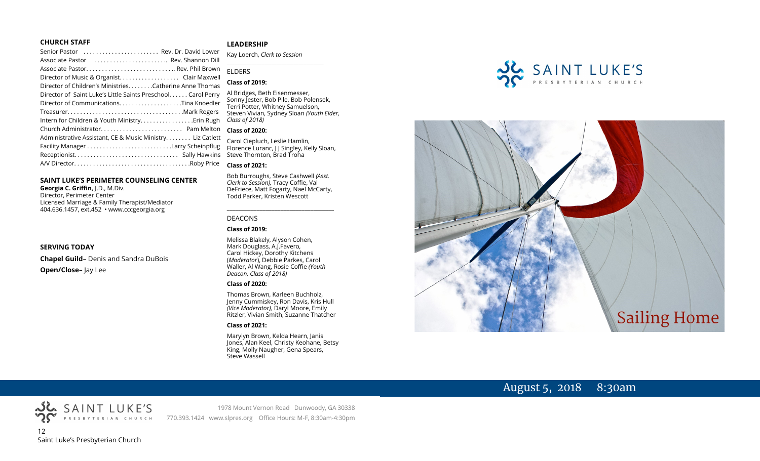#### **CHURCH STAFF**

| Associate Pastor  Rev. Shannon Dill<br>Director of Music & Organist. Clair Maxwell<br>Director of Children's MinistriesCatherine Anne Thomas<br>Director of Saint Luke's Little Saints Preschool. Carol Perry |
|---------------------------------------------------------------------------------------------------------------------------------------------------------------------------------------------------------------|
|                                                                                                                                                                                                               |
|                                                                                                                                                                                                               |
|                                                                                                                                                                                                               |
|                                                                                                                                                                                                               |
|                                                                                                                                                                                                               |
|                                                                                                                                                                                                               |
|                                                                                                                                                                                                               |
| Intern for Children & Youth Ministry Erin Rugh                                                                                                                                                                |
|                                                                                                                                                                                                               |
| Administrative Assistant, CE & Music Ministry Liz Catlett                                                                                                                                                     |
|                                                                                                                                                                                                               |
|                                                                                                                                                                                                               |
|                                                                                                                                                                                                               |

#### **SAINT LUKE'S PERIMETER COUNSELING CENTER**

**Georgia C. Griffin,** J.D., M.Div. Director, Perimeter Center Licensed Marriage & Family Therapist/Mediator 404.636.1457, ext.452 • www.cccgeorgia.org

#### **SERVING TODAY**

**Chapel Guild**– Denis and Sandra DuBois **Open/Close**– Jay Lee

#### **LEADERSHIP**

Kay Loerch, *Clerk to Session*  **\_\_\_\_\_\_\_\_\_\_\_\_\_\_\_\_\_\_\_\_\_\_\_\_\_\_\_\_\_\_\_\_\_\_\_\_\_\_\_**

#### ELDERS

#### **Class of 2019:**

Al Bridges, Beth Eisenmesser, Sonny Jester, Bob Pile, Bob Polensek, Terri Potter, Whitney Samuelson, Steven Vivian*,* Sydney Sloan *(Youth Elder, Class of 2018)*

#### **Class of 2020:**

Carol Ciepluch, Leslie Hamlin, Florence Luranc, J J Singley, Kelly Sloan, Steve Thornton, Brad Troha

#### **Class of 2021:**

Bob Burroughs, Steve Cashwell *(Asst. Clerk to Session),* Tracy Coffie, Val DeFriece, Matt Fogarty, Nael McCarty, Todd Parker, Kristen Wescott

\_\_\_\_\_\_\_\_\_\_\_\_\_\_\_\_\_\_\_\_\_\_\_\_\_\_\_\_\_\_\_\_\_\_\_\_

#### DEACONS

#### **Class of 2019:**

Melissa Blakely, Alyson Cohen, Mark Douglass, A.J.Favero, Carol Hickey, Dorothy Kitchens (*Moderator*), Debbie Parkes, Carol Waller, Al Wang, Rosie Coffie *(Youth Deacon, Class of 2018)* 

#### **Class of 2020:**

Thomas Brown, Karleen Buchholz, Jenny Cummiskey, Ron Davis, Kris Hull *(Vice Moderator),* Daryl Moore, Emily Ritzler, Vivian Smith, Suzanne Thatcher

#### **Class of 2021:**

Marylyn Brown, Kelda Hearn, Janis Jones, Alan Keel, Christy Keohane, Betsy King, Molly Naugher, Gena Spears, Steve Wassell





# August 5, 2018 8:30am



1978 Mount Vernon Road Dunwoody, GA 30338 770.393.1424 www.slpres.org Office Hours: M-F, 8:30am-4:30pm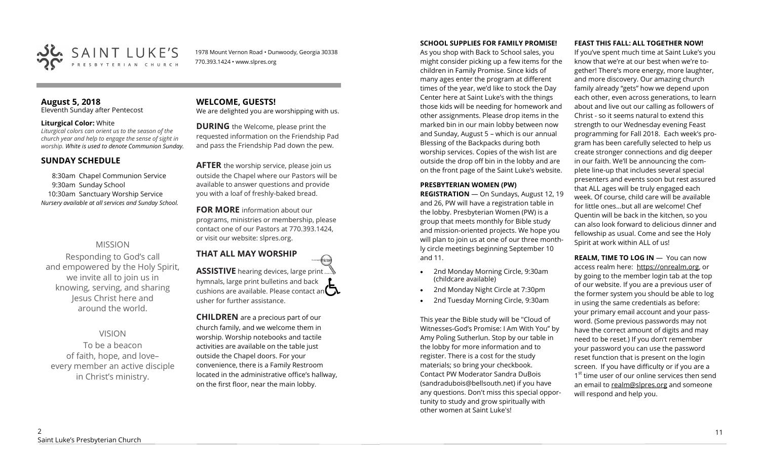

1978 Mount Vernon Road • Dunwoody, Georgia 30338 770.393.1424 • www.slpres.org

#### **August 5, 2018**  Eleventh Sunday after Pentecost

#### **Liturgical Color:** White

*Liturgical colors can orient us to the season of the church year and help to engage the sense of sight in worship. White is used to denote Communion Sunday.*

# **SUNDAY SCHEDULE**

8:30am Chapel Communion Service 9:30am Sunday School 10:30am Sanctuary Worship Service *Nursery available at all services and Sunday School.* 

# MISSION

Responding to God's call and empowered by the Holy Spirit, we invite all to join us in knowing, serving, and sharing Jesus Christ here and around the world.

# VISION

To be a beacon of faith, hope, and love– every member an active disciple in Christ's ministry.

# **WELCOME, GUESTS!**

We are delighted you are worshipping with us.

**DURING** the Welcome, please print the requested information on the Friendship Pad and pass the Friendship Pad down the pew.

**AFTER** the worship service, please join us outside the Chapel where our Pastors will be available to answer questions and provide you with a loaf of freshly-baked bread.

**FOR MORE** information about our programs, ministries or membership, please contact one of our Pastors at 770.393.1424, or visit our website: slpres.org.

# **THAT ALL MAY WORSHIP**

**ASSISTIVE** hearing devices, large print... hymnals, large print bulletins and back cushions are available. Please contact an  $\mathbf{\Omega}$ usher for further assistance.

thisted

**CHILDREN** are a precious part of our church family, and we welcome them in worship. Worship notebooks and tactile activities are available on the table just outside the Chapel doors. For your convenience, there is a Family Restroom located in the administrative office's hallway, on the first floor, near the main lobby.

#### **SCHOOL SUPPLIES FOR FAMILY PROMISE!**

As you shop with Back to School sales, you might consider picking up a few items for the children in Family Promise. Since kids of many ages enter the program at different times of the year, we'd like to stock the Day Center here at Saint Luke's with the things those kids will be needing for homework and other assignments. Please drop items in the marked bin in our main lobby between now and Sunday, August 5 – which is our annual Blessing of the Backpacks during both worship services. Copies of the wish list are outside the drop off bin in the lobby and are on the front page of the Saint Luke's website.

## **PRESBYTERIAN WOMEN (PW)**

**REGISTRATION** — On Sundays, August 12, 19 and 26, PW will have a registration table in the lobby. Presbyterian Women (PW) is a group that meets monthly for Bible study and mission-oriented projects. We hope you will plan to join us at one of our three monthly circle meetings beginning September 10 and 11.

- 2nd Monday Morning Circle, 9:30am (childcare available)
- 2nd Monday Night Circle at 7:30pm
- 2nd Tuesday Morning Circle, 9:30am

This year the Bible study will be "Cloud of Witnesses-God's Promise: I Am With You" by Amy Poling Sutherlun. Stop by our table in the lobby for more information and to register. There is a cost for the study materials; so bring your checkbook. Contact PW Moderator Sandra DuBois (sandradubois@bellsouth.net) if you have any questions. Don't miss this special opportunity to study and grow spiritually with other women at Saint Luke's!

### **FEAST THIS FALL: ALL TOGETHER NOW!**

If you've spent much time at Saint Luke's you know that we're at our best when we're together! There's more energy, more laughter, and more discovery. Our amazing church family already "gets" how we depend upon each other, even across generations, to learn about and live out our calling as followers of Christ - so it seems natural to extend this strength to our Wednesday evening Feast programming for Fall 2018. Each week's program has been carefully selected to help us create stronger connections and dig deeper in our faith. We'll be announcing the complete line-up that includes several special presenters and events soon but rest assured that ALL ages will be truly engaged each week. Of course, child care will be available for little ones…but all are welcome! Chef Quentin will be back in the kitchen, so you can also look forward to delicious dinner and fellowship as usual. Come and see the Holy Spirit at work within ALL of us!

**REALM, TIME TO LOG IN - You can now** access realm here: [https://onrealm.org,](https://onrealm.org) or by going to the member login tab at the top of our website. If you are a previous user of the former system you should be able to log in using the same credentials as before: your primary email account and your password. (Some previous passwords may not have the correct amount of digits and may need to be reset.) If you don't remember your password you can use the password reset function that is present on the login screen. If you have difficulty or if you are a 1<sup>st</sup> time user of our online services then send an email to [realm@slpres.org](mailto:realm@slpres.org) and someone will respond and help you.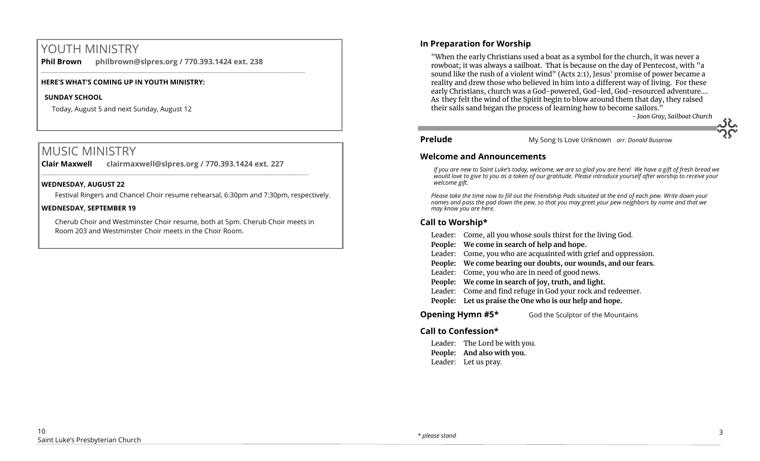# YOUTH MINISTRY

**Phil Brown philbrown@slpres.org / 770.393.1424 ext. 238**  \_\_\_\_\_\_\_\_\_\_\_\_\_\_\_\_\_\_\_\_\_\_\_\_\_\_\_\_\_\_\_\_\_\_\_\_\_\_\_\_\_\_\_\_\_\_\_\_\_\_\_\_\_\_\_\_\_\_\_\_\_\_\_\_\_\_\_\_\_\_\_\_\_\_\_\_\_\_\_\_\_\_\_\_\_\_\_

#### **HERE'S WHAT'S COMING UP IN YOUTH MINISTRY:**

### **SUNDAY SCHOOL**

Today, August 5 and next Sunday, August 12

# MUSIC MINISTRY

**Clair Maxwell clairmaxwell@slpres.org / 770.393.1424 ext. 227**   $\_$  , and the set of the set of the set of the set of the set of the set of the set of the set of the set of the set of the set of the set of the set of the set of the set of the set of the set of the set of the set of th

#### **WEDNESDAY, AUGUST 22**

Festival Ringers and Chancel Choir resume rehearsal, 6:30pm and 7:30pm, respectively.

#### **WEDNESDAY, SEPTEMBER 19**

Cherub Choir and Westminster Choir resume, both at 5pm. Cherub Choir meets in Room 203 and Westminster Choir meets in the Choir Room.

# **In Preparation for Worship**

"When the early Christians used a boat as a symbol for the church, it was never a rowboat; it was always a sailboat. That is because on the day of Pentecost, with "a sound like the rush of a violent wind" (Acts 2:1), Jesus' promise of power became a reality and drew those who believed in him into a different way of living. For these early Christians, church was a God-powered, God-led, God-resourced adventure.... As they felt the wind of the Spirit begin to blow around them that day, they raised their sails sand began the process of learning how to become sailors."

 *- Joan Gray, Sailboat Church*

**Prelude** My Song Is Love Unknown *arr. Donald Busarow* 

## **Welcome and Announcements**

*If you are new to Saint Luke's today, welcome, we are so glad you are here! We have a gift of fresh bread we would love to give to you as a token of our gratitude. Please introduce yourself after worship to receive your welcome gift.*

*Please take the time now to fill out the Friendship Pads situated at the end of each pew. Write down your names and pass the pad down the pew, so that you may greet your pew neighbors by name and that we may know you are here.*

# **Call to Worship\***

- Leader: Come, all you whose souls thirst for the living God.
- **People: We come in search of help and hope.**
- Leader: Come, you who are acquainted with grief and oppression.
- **People: We come bearing our doubts, our wounds, and our fears.**
- Leader: Come, you who are in need of good news.
- **People: We come in search of joy, truth, and light.**
- Leader: Come and find refuge in God your rock and redeemer.
- **People: Let us praise the One who is our help and hope.**
- **Opening Hymn #5\*** God the Sculptor of the Mountains
	-

# **Call to Confession\***

Leader: The Lord be with you. **People: And also with you.** Leader: Let us pray.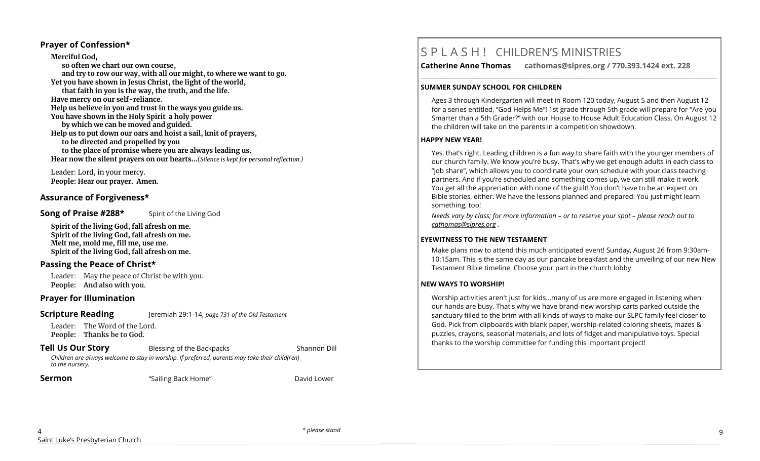# **Prayer of Confession\***

**Merciful God, so often we chart our own course, and try to row our way, with all our might, to where we want to go. Yet you have shown in Jesus Christ, the light of the world, that faith in you is the way, the truth, and the life. Have mercy on our self-reliance. Help us believe in you and trust in the ways you guide us. You have shown in the Holy Spirit a holy power by which we can be moved and guided. Help us to put down our oars and hoist a sail, knit of prayers, to be directed and propelled by you to the place of promise where you are always leading us. Hear now the silent prayers on our hearts...**(*Silence is kept for personal reflection.)*

Leader: Lord, in your mercy. **People: Hear our prayer. Amen.**

# **Assurance of Forgiveness\***

**Song of Praise #288\*** Spirit of the Living God

**Spirit of the living God, fall afresh on me. Spirit of the living God, fall afresh on me. Melt me, mold me, fill me, use me. Spirit of the living God, fall afresh on me.**

# **Passing the Peace of Christ\***

Leader: May the peace of Christ be with you. **People: And also with you.** 

# **Prayer for Illumination**

**Scripture Reading** Jeremiah 29:1-14, *page 731 of the Old Testament* 

Leader: The Word of the Lord. **People: Thanks be to God.** 

**Tell Us Our Story Blessing of the Backpacks Shannon Dill** *Children are always welcome to stay in worship. If preferred, parents may take their child(ren)* 

*to the nursery.*

**Sermon** "Sailing Back Home" David Lower

# S P L A S H ! CHILDREN'S MINISTRIES

**Catherine Anne Thomas cathomas@slpres.org / 770.393.1424 ext. 228** 

#### **SUMMER SUNDAY SCHOOL FOR CHILDREN**

Ages 3 through Kindergarten will meet in Room 120 today, August 5 and then August 12 for a series entitled, "God Helps Me"! 1st grade through 5th grade will prepare for "Are you Smarter than a 5th Grader?" with our House to House Adult Education Class. On August 12 the children will take on the parents in a competition showdown.

**\_\_\_\_\_\_\_\_\_\_\_\_\_\_\_\_\_\_\_\_\_\_\_\_\_\_\_\_\_\_\_\_\_\_\_\_\_\_\_\_\_\_\_\_\_\_\_\_\_\_\_\_\_\_\_\_\_\_\_\_\_\_\_\_\_\_\_\_\_\_\_\_\_\_\_\_\_\_\_\_\_\_\_\_\_\_\_\_\_\_\_\_\_\_\_\_\_\_\_\_\_\_\_\_\_\_** 

#### **HAPPY NEW YEAR!**

Yes, that's right. Leading children is a fun way to share faith with the younger members of our church family. We know you're busy. That's why we get enough adults in each class to "job share", which allows you to coordinate your own schedule with your class teaching partners. And if you're scheduled and something comes up, we can still make it work. You get all the appreciation with none of the guilt! You don't have to be an expert on Bible stories, either. We have the lessons planned and prepared. You just might learn something, too!

*Needs vary by class; for more information – or to reserve your spot – please reach out to [cathomas@slpres.org](mailto:cathomas@slpres.org) .* 

# **EYEWITNESS TO THE NEW TESTAMENT**

Make plans now to attend this much anticipated event! Sunday, August 26 from 9:30am-10:15am. This is the same day as our pancake breakfast and the unveiling of our new New Testament Bible timeline. Choose your part in the church lobby.

## **NEW WAYS TO WORSHIP!**

Worship activities aren't just for kids...many of us are more engaged in listening when our hands are busy. That's why we have brand-new worship carts parked outside the sanctuary filled to the brim with all kinds of ways to make our SLPC family feel closer to God. Pick from clipboards with blank paper, worship-related coloring sheets, mazes & puzzles, crayons, seasonal materials, and lots of fidget and manipulative toys. Special thanks to the worship committee for funding this important project!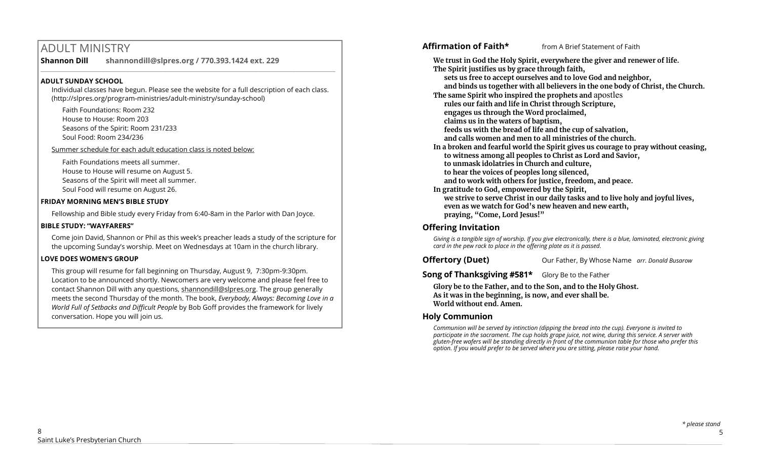# ADULT MINISTRY

**Shannon Dill shannondill@slpres.org / 770.393.1424 ext. 229** 

## **ADULT SUNDAY SCHOOL**

Individual classes have begun. Please see the website for a full description of each class. (http://slpres.org/program-ministries/adult-ministry/sunday-school)

 $\_$  ,  $\_$  ,  $\_$  ,  $\_$  ,  $\_$  ,  $\_$  ,  $\_$  ,  $\_$  ,  $\_$  ,  $\_$  ,  $\_$  ,  $\_$  ,  $\_$  ,  $\_$  ,  $\_$  ,  $\_$  ,  $\_$  ,  $\_$  ,  $\_$ 

Faith Foundations: Room 232 House to House: Room 203 Seasons of the Spirit: Room 231/233 Soul Food: Room 234/236

#### Summer schedule for each adult education class is noted below:

Faith Foundations meets all summer. House to House will resume on August 5. Seasons of the Spirit will meet all summer. Soul Food will resume on August 26.

## **FRIDAY MORNING MEN'S BIBLE STUDY**

Fellowship and Bible study every Friday from 6:40-8am in the Parlor with Dan Joyce.

## **BIBLE STUDY: "WAYFARERS"**

Come join David, Shannon or Phil as this week's preacher leads a study of the scripture for the upcoming Sunday's worship. Meet on Wednesdays at 10am in the church library.

# **LOVE DOES WOMEN'S GROUP**

This group will resume for fall beginning on Thursday, August 9, 7:30pm-9:30pm. Location to be announced shortly. Newcomers are very welcome and please feel free to contact Shannon Dill with any questions, shannondill@slpres.org. The group generally meets the second Thursday of the month. The book, *Everybody, Always: Becoming Love in a World Full of Setbacks and Difficult People* by Bob Goff provides the framework for lively conversation. Hope you will join us.

# **Affirmation of Faith\* from A Brief Statement of Faith**

**We trust in God the Holy Spirit, everywhere the giver and renewer of life. The Spirit justifies us by grace through faith, sets us free to accept ourselves and to love God and neighbor, and binds us together with all believers in the one body of Christ, the Church. The same Spirit who inspired the prophets and** apostles **rules our faith and life in Christ through Scripture, engages us through the Word proclaimed, claims us in the waters of baptism, feeds us with the bread of life and the cup of salvation, and calls women and men to all ministries of the church. In a broken and fearful world the Spirit gives us courage to pray without ceasing, to witness among all peoples to Christ as Lord and Savior, to unmask idolatries in Church and culture, to hear the voices of peoples long silenced, and to work with others for justice, freedom, and peace. In gratitude to God, empowered by the Spirit, we strive to serve Christ in our daily tasks and to live holy and joyful lives, even as we watch for God's new heaven and new earth, praying, "Come, Lord Jesus!"**

# **Offering Invitation**

*Giving is a tangible sign of worship. If you give electronically, there is a blue, laminated, electronic giving card in the pew rack to place in the offering plate as it is passed.*

# **Offertory (Duet)** Our Father, By Whose Name *arr. Donald Busarow*

**Song of Thanksgiving #581\*** Glory Be to the Father

**Glory be to the Father, and to the Son, and to the Holy Ghost. As it was in the beginning, is now, and ever shall be. World without end. Amen.**

# **Holy Communion**

*Communion will be served by intinction (dipping the bread into the cup). Everyone is invited to participate in the sacrament. The cup holds grape juice, not wine, during this service. A server with gluten-free wafers will be standing directly in front of the communion table for those who prefer this option. If you would prefer to be served where you are sitting, please raise your hand.*